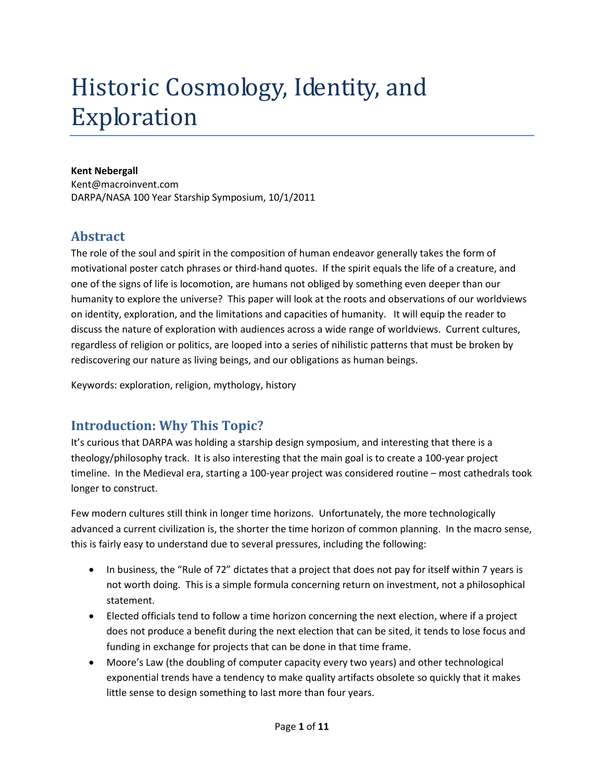# Historic Cosmology, Identity, and Exploration

## **Kent Nebergall**

Kent@macroinvent.com DARPA/NASA 100 Year Starship Symposium, 10/1/2011

# **Abstract**

The role of the soul and spirit in the composition of human endeavor generally takes the form of motivational poster catch phrases or third-hand quotes. If the spirit equals the life of a creature, and one of the signs of life is locomotion, are humans not obliged by something even deeper than our humanity to explore the universe? This paper will look at the roots and observations of our worldviews on identity, exploration, and the limitations and capacities of humanity. It will equip the reader to discuss the nature of exploration with audiences across a wide range of worldviews. Current cultures, regardless of religion or politics, are looped into a series of nihilistic patterns that must be broken by rediscovering our nature as living beings, and our obligations as human beings.

Keywords: exploration, religion, mythology, history

# **Introduction: Why This Topic?**

It's curious that DARPA was holding a starship design symposium, and interesting that there is a theology/philosophy track. It is also interesting that the main goal is to create a 100-year project timeline. In the Medieval era, starting a 100-year project was considered routine – most cathedrals took longer to construct.

Few modern cultures still think in longer time horizons. Unfortunately, the more technologically advanced a current civilization is, the shorter the time horizon of common planning. In the macro sense, this is fairly easy to understand due to several pressures, including the following:

- In business, the "Rule of 72" dictates that a project that does not pay for itself within 7 years is not worth doing. This is a simple formula concerning return on investment, not a philosophical statement.
- Elected officials tend to follow a time horizon concerning the next election, where if a project does not produce a benefit during the next election that can be sited, it tends to lose focus and funding in exchange for projects that can be done in that time frame.
- Moore's Law (the doubling of computer capacity every two years) and other technological exponential trends have a tendency to make quality artifacts obsolete so quickly that it makes little sense to design something to last more than four years.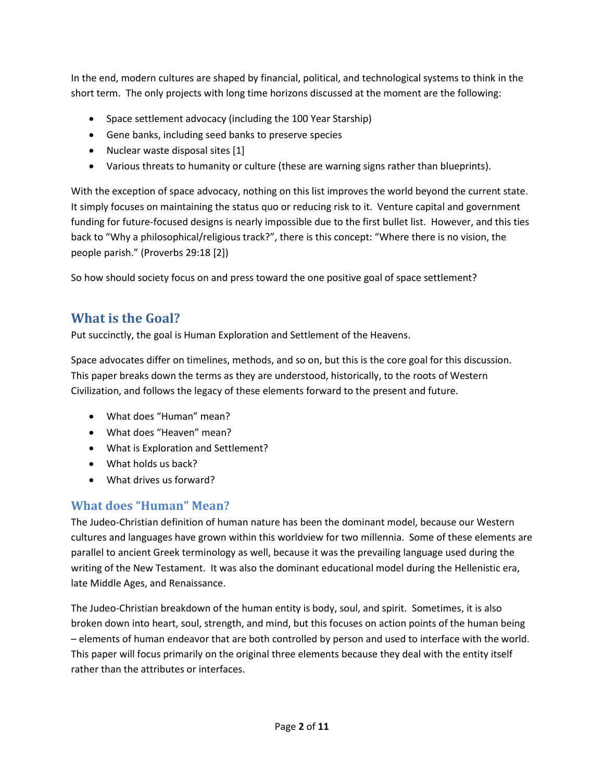In the end, modern cultures are shaped by financial, political, and technological systems to think in the short term. The only projects with long time horizons discussed at the moment are the following:

- Space settlement advocacy (including the 100 Year Starship)
- Gene banks, including seed banks to preserve species
- Nuclear waste disposal sites [1]
- Various threats to humanity or culture (these are warning signs rather than blueprints).

With the exception of space advocacy, nothing on this list improves the world beyond the current state. It simply focuses on maintaining the status quo or reducing risk to it. Venture capital and government funding for future-focused designs is nearly impossible due to the first bullet list. However, and this ties back to "Why a philosophical/religious track?", there is this concept: "Where there is no vision, the people parish." (Proverbs 29:18 [2])

So how should society focus on and press toward the one positive goal of space settlement?

# **What is the Goal?**

Put succinctly, the goal is Human Exploration and Settlement of the Heavens.

Space advocates differ on timelines, methods, and so on, but this is the core goal for this discussion. This paper breaks down the terms as they are understood, historically, to the roots of Western Civilization, and follows the legacy of these elements forward to the present and future.

- What does "Human" mean?
- What does "Heaven" mean?
- What is Exploration and Settlement?
- What holds us back?
- What drives us forward?

# **What does "Human" Mean?**

The Judeo-Christian definition of human nature has been the dominant model, because our Western cultures and languages have grown within this worldview for two millennia. Some of these elements are parallel to ancient Greek terminology as well, because it was the prevailing language used during the writing of the New Testament. It was also the dominant educational model during the Hellenistic era, late Middle Ages, and Renaissance.

The Judeo-Christian breakdown of the human entity is body, soul, and spirit. Sometimes, it is also broken down into heart, soul, strength, and mind, but this focuses on action points of the human being – elements of human endeavor that are both controlled by person and used to interface with the world. This paper will focus primarily on the original three elements because they deal with the entity itself rather than the attributes or interfaces.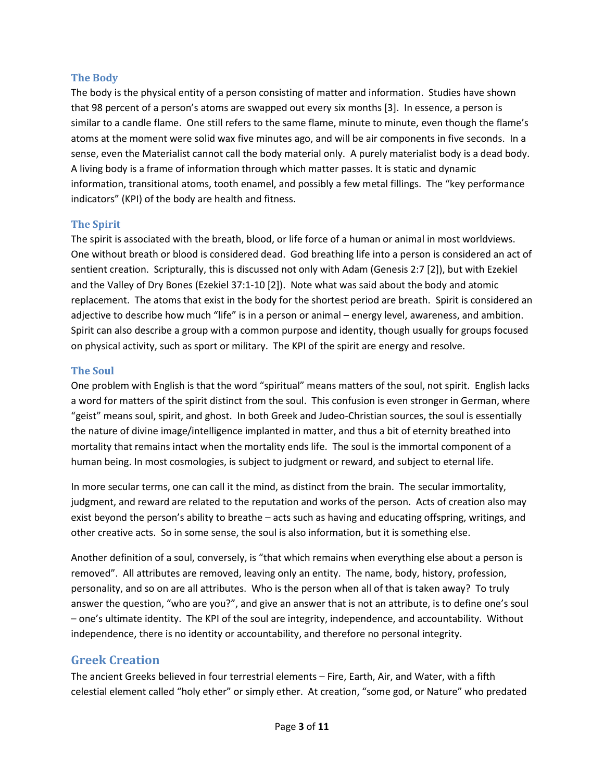#### **The Body**

The body is the physical entity of a person consisting of matter and information. Studies have shown that 98 percent of a person's atoms are swapped out every six months [3]. In essence, a person is similar to a candle flame. One still refers to the same flame, minute to minute, even though the flame's atoms at the moment were solid wax five minutes ago, and will be air components in five seconds. In a sense, even the Materialist cannot call the body material only. A purely materialist body is a dead body. A living body is a frame of information through which matter passes. It is static and dynamic information, transitional atoms, tooth enamel, and possibly a few metal fillings. The "key performance indicators" (KPI) of the body are health and fitness.

#### **The Spirit**

The spirit is associated with the breath, blood, or life force of a human or animal in most worldviews. One without breath or blood is considered dead. God breathing life into a person is considered an act of sentient creation. Scripturally, this is discussed not only with Adam (Genesis 2:7 [2]), but with Ezekiel and the Valley of Dry Bones (Ezekiel 37:1-10 [2]). Note what was said about the body and atomic replacement. The atoms that exist in the body for the shortest period are breath. Spirit is considered an adjective to describe how much "life" is in a person or animal – energy level, awareness, and ambition. Spirit can also describe a group with a common purpose and identity, though usually for groups focused on physical activity, such as sport or military. The KPI of the spirit are energy and resolve.

#### **The Soul**

One problem with English is that the word "spiritual" means matters of the soul, not spirit. English lacks a word for matters of the spirit distinct from the soul. This confusion is even stronger in German, where "geist" means soul, spirit, and ghost. In both Greek and Judeo-Christian sources, the soul is essentially the nature of divine image/intelligence implanted in matter, and thus a bit of eternity breathed into mortality that remains intact when the mortality ends life. The soul is the immortal component of a human being. In most cosmologies, is subject to judgment or reward, and subject to eternal life.

In more secular terms, one can call it the mind, as distinct from the brain. The secular immortality, judgment, and reward are related to the reputation and works of the person. Acts of creation also may exist beyond the person's ability to breathe – acts such as having and educating offspring, writings, and other creative acts. So in some sense, the soul is also information, but it is something else.

Another definition of a soul, conversely, is "that which remains when everything else about a person is removed". All attributes are removed, leaving only an entity. The name, body, history, profession, personality, and so on are all attributes. Who is the person when all of that is taken away? To truly answer the question, "who are you?", and give an answer that is not an attribute, is to define one's soul – one's ultimate identity. The KPI of the soul are integrity, independence, and accountability. Without independence, there is no identity or accountability, and therefore no personal integrity.

## **Greek Creation**

The ancient Greeks believed in four terrestrial elements – Fire, Earth, Air, and Water, with a fifth celestial element called "holy ether" or simply ether. At creation, "some god, or Nature" who predated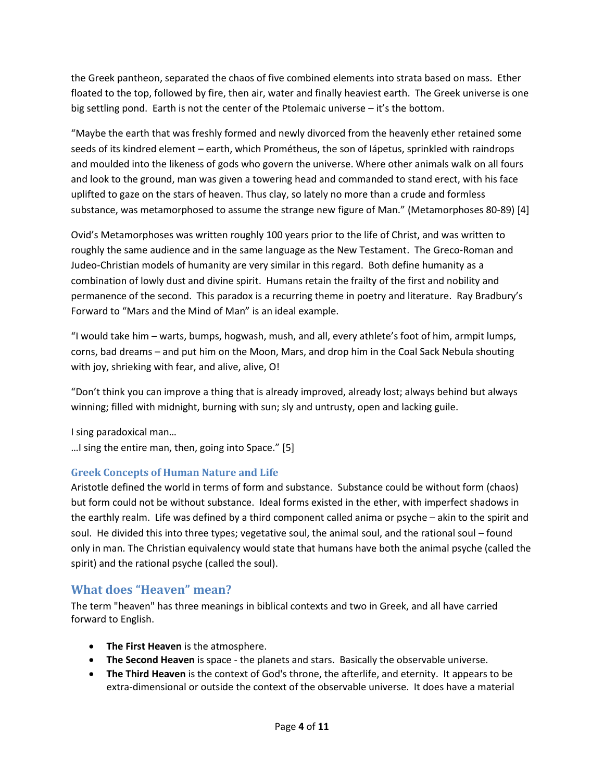the Greek pantheon, separated the chaos of five combined elements into strata based on mass. Ether floated to the top, followed by fire, then air, water and finally heaviest earth. The Greek universe is one big settling pond. Earth is not the center of the Ptolemaic universe – it's the bottom.

"Maybe the earth that was freshly formed and newly divorced from the heavenly ether retained some seeds of its kindred element – earth, which Prométheus, the son of Iápetus, sprinkled with raindrops and moulded into the likeness of gods who govern the universe. Where other animals walk on all fours and look to the ground, man was given a towering head and commanded to stand erect, with his face uplifted to gaze on the stars of heaven. Thus clay, so lately no more than a crude and formless substance, was metamorphosed to assume the strange new figure of Man." (Metamorphoses 80-89) [4]

Ovid's Metamorphoses was written roughly 100 years prior to the life of Christ, and was written to roughly the same audience and in the same language as the New Testament. The Greco-Roman and Judeo-Christian models of humanity are very similar in this regard. Both define humanity as a combination of lowly dust and divine spirit. Humans retain the frailty of the first and nobility and permanence of the second. This paradox is a recurring theme in poetry and literature. Ray Bradbury's Forward to "Mars and the Mind of Man" is an ideal example.

"I would take him – warts, bumps, hogwash, mush, and all, every athlete's foot of him, armpit lumps, corns, bad dreams – and put him on the Moon, Mars, and drop him in the Coal Sack Nebula shouting with joy, shrieking with fear, and alive, alive, O!

"Don't think you can improve a thing that is already improved, already lost; always behind but always winning; filled with midnight, burning with sun; sly and untrusty, open and lacking guile.

I sing paradoxical man…

…I sing the entire man, then, going into Space." [5]

## **Greek Concepts of Human Nature and Life**

Aristotle defined the world in terms of form and substance. Substance could be without form (chaos) but form could not be without substance. Ideal forms existed in the ether, with imperfect shadows in the earthly realm. Life was defined by a third component called anima or psyche – akin to the spirit and soul. He divided this into three types; vegetative soul, the animal soul, and the rational soul – found only in man. The Christian equivalency would state that humans have both the animal psyche (called the spirit) and the rational psyche (called the soul).

## **What does "Heaven" mean?**

The term "heaven" has three meanings in biblical contexts and two in Greek, and all have carried forward to English.

- **The First Heaven** is the atmosphere.
- **The Second Heaven** is space the planets and stars. Basically the observable universe.
- **The Third Heaven** is the context of God's throne, the afterlife, and eternity. It appears to be extra-dimensional or outside the context of the observable universe. It does have a material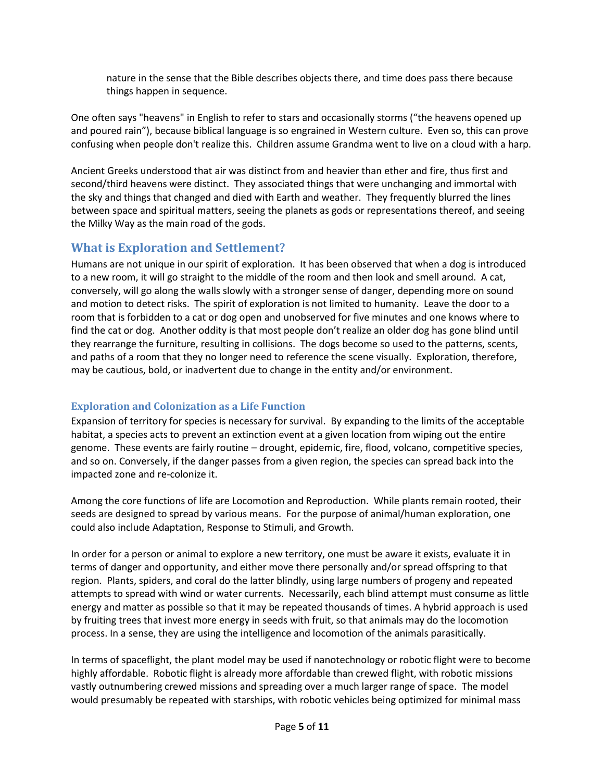nature in the sense that the Bible describes objects there, and time does pass there because things happen in sequence.

One often says "heavens" in English to refer to stars and occasionally storms ("the heavens opened up and poured rain"), because biblical language is so engrained in Western culture. Even so, this can prove confusing when people don't realize this. Children assume Grandma went to live on a cloud with a harp.

Ancient Greeks understood that air was distinct from and heavier than ether and fire, thus first and second/third heavens were distinct. They associated things that were unchanging and immortal with the sky and things that changed and died with Earth and weather. They frequently blurred the lines between space and spiritual matters, seeing the planets as gods or representations thereof, and seeing the Milky Way as the main road of the gods.

## **What is Exploration and Settlement?**

Humans are not unique in our spirit of exploration. It has been observed that when a dog is introduced to a new room, it will go straight to the middle of the room and then look and smell around. A cat, conversely, will go along the walls slowly with a stronger sense of danger, depending more on sound and motion to detect risks. The spirit of exploration is not limited to humanity. Leave the door to a room that is forbidden to a cat or dog open and unobserved for five minutes and one knows where to find the cat or dog. Another oddity is that most people don't realize an older dog has gone blind until they rearrange the furniture, resulting in collisions. The dogs become so used to the patterns, scents, and paths of a room that they no longer need to reference the scene visually. Exploration, therefore, may be cautious, bold, or inadvertent due to change in the entity and/or environment.

## **Exploration and Colonization as a Life Function**

Expansion of territory for species is necessary for survival. By expanding to the limits of the acceptable habitat, a species acts to prevent an extinction event at a given location from wiping out the entire genome. These events are fairly routine – drought, epidemic, fire, flood, volcano, competitive species, and so on. Conversely, if the danger passes from a given region, the species can spread back into the impacted zone and re-colonize it.

Among the core functions of life are Locomotion and Reproduction. While plants remain rooted, their seeds are designed to spread by various means. For the purpose of animal/human exploration, one could also include Adaptation, Response to Stimuli, and Growth.

In order for a person or animal to explore a new territory, one must be aware it exists, evaluate it in terms of danger and opportunity, and either move there personally and/or spread offspring to that region. Plants, spiders, and coral do the latter blindly, using large numbers of progeny and repeated attempts to spread with wind or water currents. Necessarily, each blind attempt must consume as little energy and matter as possible so that it may be repeated thousands of times. A hybrid approach is used by fruiting trees that invest more energy in seeds with fruit, so that animals may do the locomotion process. In a sense, they are using the intelligence and locomotion of the animals parasitically.

In terms of spaceflight, the plant model may be used if nanotechnology or robotic flight were to become highly affordable. Robotic flight is already more affordable than crewed flight, with robotic missions vastly outnumbering crewed missions and spreading over a much larger range of space. The model would presumably be repeated with starships, with robotic vehicles being optimized for minimal mass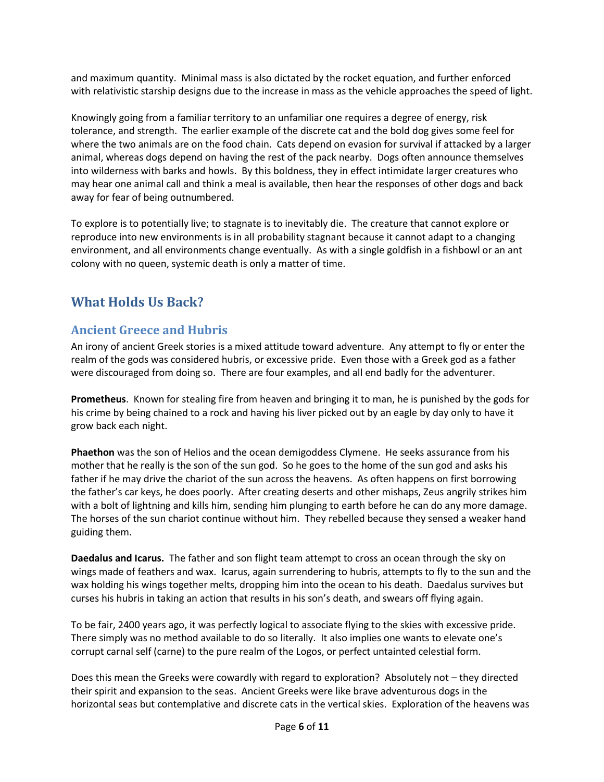and maximum quantity. Minimal mass is also dictated by the rocket equation, and further enforced with relativistic starship designs due to the increase in mass as the vehicle approaches the speed of light.

Knowingly going from a familiar territory to an unfamiliar one requires a degree of energy, risk tolerance, and strength. The earlier example of the discrete cat and the bold dog gives some feel for where the two animals are on the food chain. Cats depend on evasion for survival if attacked by a larger animal, whereas dogs depend on having the rest of the pack nearby. Dogs often announce themselves into wilderness with barks and howls. By this boldness, they in effect intimidate larger creatures who may hear one animal call and think a meal is available, then hear the responses of other dogs and back away for fear of being outnumbered.

To explore is to potentially live; to stagnate is to inevitably die. The creature that cannot explore or reproduce into new environments is in all probability stagnant because it cannot adapt to a changing environment, and all environments change eventually. As with a single goldfish in a fishbowl or an ant colony with no queen, systemic death is only a matter of time.

# **What Holds Us Back?**

# **Ancient Greece and Hubris**

An irony of ancient Greek stories is a mixed attitude toward adventure. Any attempt to fly or enter the realm of the gods was considered hubris, or excessive pride. Even those with a Greek god as a father were discouraged from doing so. There are four examples, and all end badly for the adventurer.

**Prometheus**. Known for stealing fire from heaven and bringing it to man, he is punished by the gods for his crime by being chained to a rock and having his liver picked out by an eagle by day only to have it grow back each night.

**Phaethon** was the son of Helios and the ocean demigoddess Clymene. He seeks assurance from his mother that he really is the son of the sun god. So he goes to the home of the sun god and asks his father if he may drive the chariot of the sun across the heavens. As often happens on first borrowing the father's car keys, he does poorly. After creating deserts and other mishaps, Zeus angrily strikes him with a bolt of lightning and kills him, sending him plunging to earth before he can do any more damage. The horses of the sun chariot continue without him. They rebelled because they sensed a weaker hand guiding them.

**Daedalus and Icarus.** The father and son flight team attempt to cross an ocean through the sky on wings made of feathers and wax. Icarus, again surrendering to hubris, attempts to fly to the sun and the wax holding his wings together melts, dropping him into the ocean to his death. Daedalus survives but curses his hubris in taking an action that results in his son's death, and swears off flying again.

To be fair, 2400 years ago, it was perfectly logical to associate flying to the skies with excessive pride. There simply was no method available to do so literally. It also implies one wants to elevate one's corrupt carnal self (carne) to the pure realm of the Logos, or perfect untainted celestial form.

Does this mean the Greeks were cowardly with regard to exploration? Absolutely not – they directed their spirit and expansion to the seas. Ancient Greeks were like brave adventurous dogs in the horizontal seas but contemplative and discrete cats in the vertical skies. Exploration of the heavens was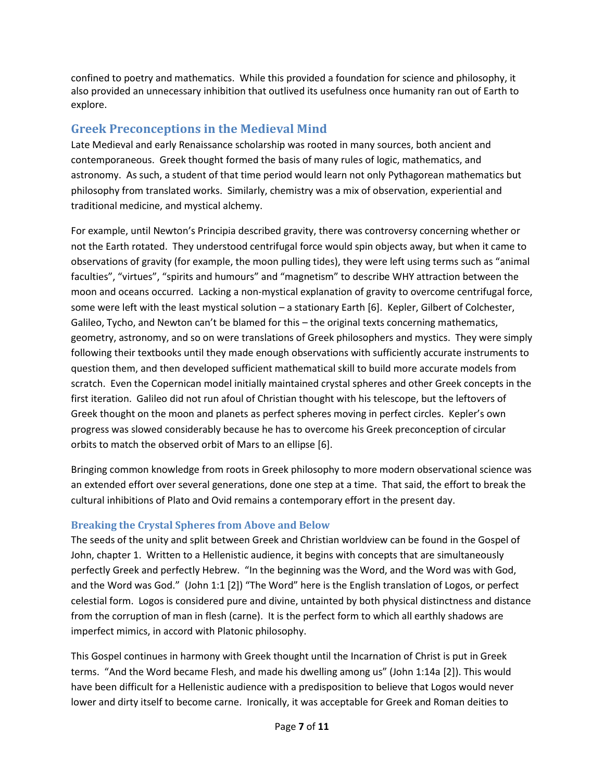confined to poetry and mathematics. While this provided a foundation for science and philosophy, it also provided an unnecessary inhibition that outlived its usefulness once humanity ran out of Earth to explore.

## **Greek Preconceptions in the Medieval Mind**

Late Medieval and early Renaissance scholarship was rooted in many sources, both ancient and contemporaneous. Greek thought formed the basis of many rules of logic, mathematics, and astronomy. As such, a student of that time period would learn not only Pythagorean mathematics but philosophy from translated works. Similarly, chemistry was a mix of observation, experiential and traditional medicine, and mystical alchemy.

For example, until Newton's Principia described gravity, there was controversy concerning whether or not the Earth rotated. They understood centrifugal force would spin objects away, but when it came to observations of gravity (for example, the moon pulling tides), they were left using terms such as "animal faculties", "virtues", "spirits and humours" and "magnetism" to describe WHY attraction between the moon and oceans occurred. Lacking a non-mystical explanation of gravity to overcome centrifugal force, some were left with the least mystical solution – a stationary Earth [6]. Kepler, Gilbert of Colchester, Galileo, Tycho, and Newton can't be blamed for this – the original texts concerning mathematics, geometry, astronomy, and so on were translations of Greek philosophers and mystics. They were simply following their textbooks until they made enough observations with sufficiently accurate instruments to question them, and then developed sufficient mathematical skill to build more accurate models from scratch. Even the Copernican model initially maintained crystal spheres and other Greek concepts in the first iteration. Galileo did not run afoul of Christian thought with his telescope, but the leftovers of Greek thought on the moon and planets as perfect spheres moving in perfect circles. Kepler's own progress was slowed considerably because he has to overcome his Greek preconception of circular orbits to match the observed orbit of Mars to an ellipse [6].

Bringing common knowledge from roots in Greek philosophy to more modern observational science was an extended effort over several generations, done one step at a time. That said, the effort to break the cultural inhibitions of Plato and Ovid remains a contemporary effort in the present day.

## **Breaking the Crystal Spheres from Above and Below**

The seeds of the unity and split between Greek and Christian worldview can be found in the Gospel of John, chapter 1. Written to a Hellenistic audience, it begins with concepts that are simultaneously perfectly Greek and perfectly Hebrew. "In the beginning was the Word, and the Word was with God, and the Word was God." (John 1:1 [2]) "The Word" here is the English translation of Logos, or perfect celestial form. Logos is considered pure and divine, untainted by both physical distinctness and distance from the corruption of man in flesh (carne). It is the perfect form to which all earthly shadows are imperfect mimics, in accord with Platonic philosophy.

This Gospel continues in harmony with Greek thought until the Incarnation of Christ is put in Greek terms. "And the Word became Flesh, and made his dwelling among us" (John 1:14a [2]). This would have been difficult for a Hellenistic audience with a predisposition to believe that Logos would never lower and dirty itself to become carne. Ironically, it was acceptable for Greek and Roman deities to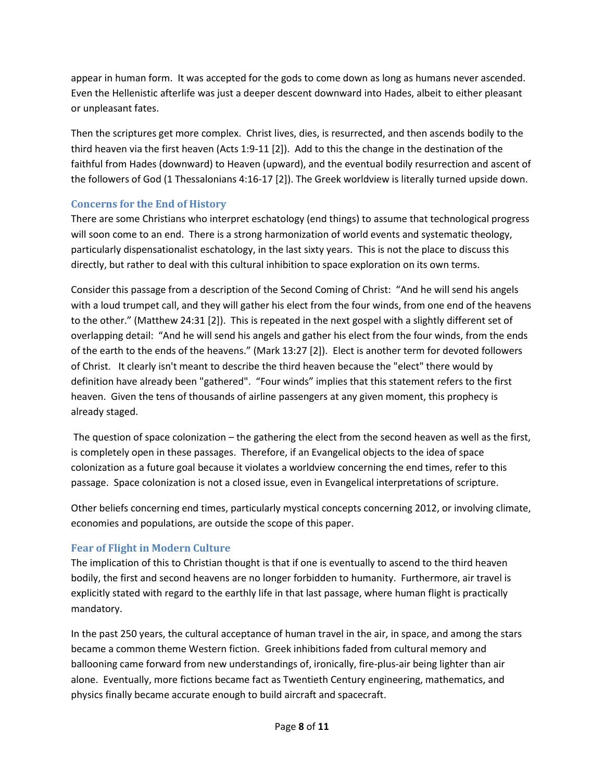appear in human form. It was accepted for the gods to come down as long as humans never ascended. Even the Hellenistic afterlife was just a deeper descent downward into Hades, albeit to either pleasant or unpleasant fates.

Then the scriptures get more complex. Christ lives, dies, is resurrected, and then ascends bodily to the third heaven via the first heaven (Acts 1:9-11 [2]). Add to this the change in the destination of the faithful from Hades (downward) to Heaven (upward), and the eventual bodily resurrection and ascent of the followers of God (1 Thessalonians 4:16-17 [2]). The Greek worldview is literally turned upside down.

## **Concerns for the End of History**

There are some Christians who interpret eschatology (end things) to assume that technological progress will soon come to an end. There is a strong harmonization of world events and systematic theology, particularly dispensationalist eschatology, in the last sixty years. This is not the place to discuss this directly, but rather to deal with this cultural inhibition to space exploration on its own terms.

Consider this passage from a description of the Second Coming of Christ: "And he will send his angels with a loud trumpet call, and they will gather his elect from the four winds, from one end of the heavens to the other." (Matthew 24:31 [2]). This is repeated in the next gospel with a slightly different set of overlapping detail: "And he will send his angels and gather his elect from the four winds, from the ends of the earth to the ends of the heavens." (Mark 13:27 [2]). Elect is another term for devoted followers of Christ. It clearly isn't meant to describe the third heaven because the "elect" there would by definition have already been "gathered". "Four winds" implies that this statement refers to the first heaven. Given the tens of thousands of airline passengers at any given moment, this prophecy is already staged.

The question of space colonization – the gathering the elect from the second heaven as well as the first, is completely open in these passages. Therefore, if an Evangelical objects to the idea of space colonization as a future goal because it violates a worldview concerning the end times, refer to this passage. Space colonization is not a closed issue, even in Evangelical interpretations of scripture.

Other beliefs concerning end times, particularly mystical concepts concerning 2012, or involving climate, economies and populations, are outside the scope of this paper.

## **Fear of Flight in Modern Culture**

The implication of this to Christian thought is that if one is eventually to ascend to the third heaven bodily, the first and second heavens are no longer forbidden to humanity. Furthermore, air travel is explicitly stated with regard to the earthly life in that last passage, where human flight is practically mandatory.

In the past 250 years, the cultural acceptance of human travel in the air, in space, and among the stars became a common theme Western fiction. Greek inhibitions faded from cultural memory and ballooning came forward from new understandings of, ironically, fire-plus-air being lighter than air alone. Eventually, more fictions became fact as Twentieth Century engineering, mathematics, and physics finally became accurate enough to build aircraft and spacecraft.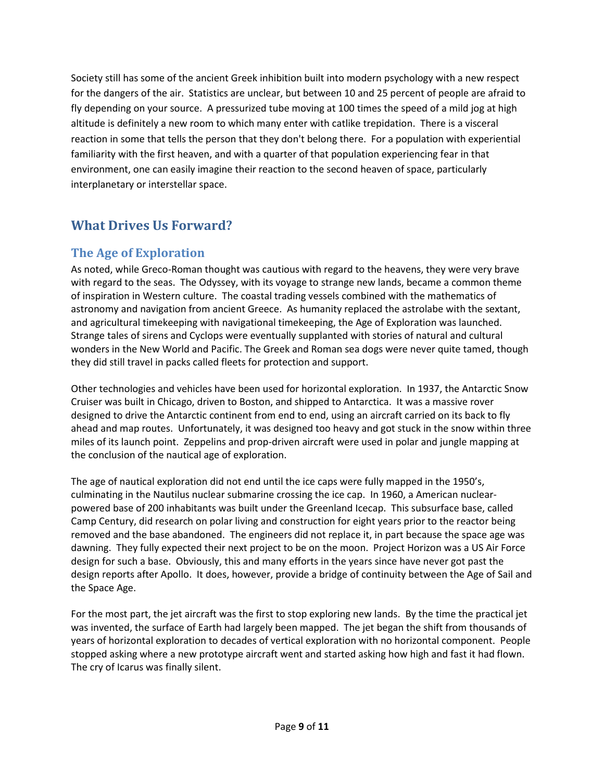Society still has some of the ancient Greek inhibition built into modern psychology with a new respect for the dangers of the air. Statistics are unclear, but between 10 and 25 percent of people are afraid to fly depending on your source. A pressurized tube moving at 100 times the speed of a mild jog at high altitude is definitely a new room to which many enter with catlike trepidation. There is a visceral reaction in some that tells the person that they don't belong there. For a population with experiential familiarity with the first heaven, and with a quarter of that population experiencing fear in that environment, one can easily imagine their reaction to the second heaven of space, particularly interplanetary or interstellar space.

# **What Drives Us Forward?**

## **The Age of Exploration**

As noted, while Greco-Roman thought was cautious with regard to the heavens, they were very brave with regard to the seas. The Odyssey, with its voyage to strange new lands, became a common theme of inspiration in Western culture. The coastal trading vessels combined with the mathematics of astronomy and navigation from ancient Greece. As humanity replaced the astrolabe with the sextant, and agricultural timekeeping with navigational timekeeping, the Age of Exploration was launched. Strange tales of sirens and Cyclops were eventually supplanted with stories of natural and cultural wonders in the New World and Pacific. The Greek and Roman sea dogs were never quite tamed, though they did still travel in packs called fleets for protection and support.

Other technologies and vehicles have been used for horizontal exploration. In 1937, the Antarctic Snow Cruiser was built in Chicago, driven to Boston, and shipped to Antarctica. It was a massive rover designed to drive the Antarctic continent from end to end, using an aircraft carried on its back to fly ahead and map routes. Unfortunately, it was designed too heavy and got stuck in the snow within three miles of its launch point. Zeppelins and prop-driven aircraft were used in polar and jungle mapping at the conclusion of the nautical age of exploration.

The age of nautical exploration did not end until the ice caps were fully mapped in the 1950's, culminating in the Nautilus nuclear submarine crossing the ice cap. In 1960, a American nuclearpowered base of 200 inhabitants was built under the Greenland Icecap. This subsurface base, called Camp Century, did research on polar living and construction for eight years prior to the reactor being removed and the base abandoned. The engineers did not replace it, in part because the space age was dawning. They fully expected their next project to be on the moon. Project Horizon was a US Air Force design for such a base. Obviously, this and many efforts in the years since have never got past the design reports after Apollo. It does, however, provide a bridge of continuity between the Age of Sail and the Space Age.

For the most part, the jet aircraft was the first to stop exploring new lands. By the time the practical jet was invented, the surface of Earth had largely been mapped. The jet began the shift from thousands of years of horizontal exploration to decades of vertical exploration with no horizontal component. People stopped asking where a new prototype aircraft went and started asking how high and fast it had flown. The cry of Icarus was finally silent.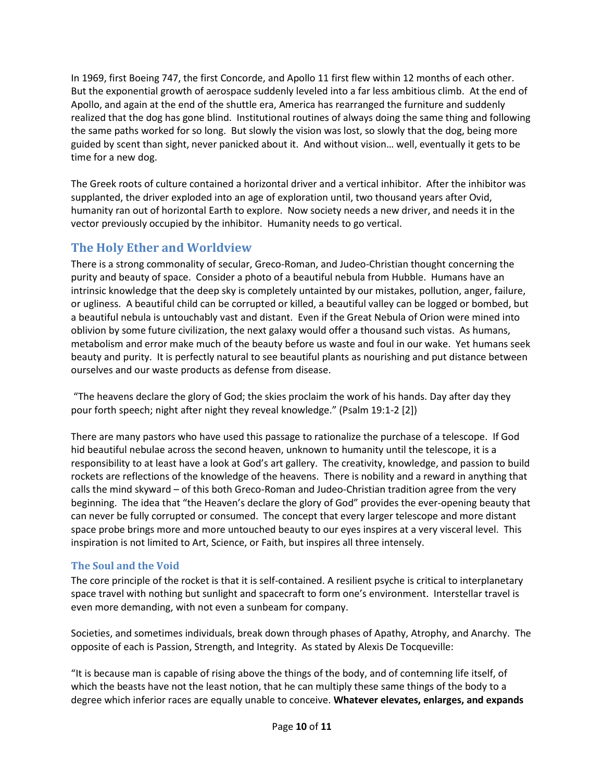In 1969, first Boeing 747, the first Concorde, and Apollo 11 first flew within 12 months of each other. But the exponential growth of aerospace suddenly leveled into a far less ambitious climb. At the end of Apollo, and again at the end of the shuttle era, America has rearranged the furniture and suddenly realized that the dog has gone blind. Institutional routines of always doing the same thing and following the same paths worked for so long. But slowly the vision was lost, so slowly that the dog, being more guided by scent than sight, never panicked about it. And without vision… well, eventually it gets to be time for a new dog.

The Greek roots of culture contained a horizontal driver and a vertical inhibitor. After the inhibitor was supplanted, the driver exploded into an age of exploration until, two thousand years after Ovid, humanity ran out of horizontal Earth to explore. Now society needs a new driver, and needs it in the vector previously occupied by the inhibitor. Humanity needs to go vertical.

# **The Holy Ether and Worldview**

There is a strong commonality of secular, Greco-Roman, and Judeo-Christian thought concerning the purity and beauty of space. Consider a photo of a beautiful nebula from Hubble. Humans have an intrinsic knowledge that the deep sky is completely untainted by our mistakes, pollution, anger, failure, or ugliness. A beautiful child can be corrupted or killed, a beautiful valley can be logged or bombed, but a beautiful nebula is untouchably vast and distant. Even if the Great Nebula of Orion were mined into oblivion by some future civilization, the next galaxy would offer a thousand such vistas. As humans, metabolism and error make much of the beauty before us waste and foul in our wake. Yet humans seek beauty and purity. It is perfectly natural to see beautiful plants as nourishing and put distance between ourselves and our waste products as defense from disease.

"The heavens declare the glory of God; the skies proclaim the work of his hands. Day after day they pour forth speech; night after night they reveal knowledge." (Psalm 19:1-2 [2])

There are many pastors who have used this passage to rationalize the purchase of a telescope. If God hid beautiful nebulae across the second heaven, unknown to humanity until the telescope, it is a responsibility to at least have a look at God's art gallery. The creativity, knowledge, and passion to build rockets are reflections of the knowledge of the heavens. There is nobility and a reward in anything that calls the mind skyward – of this both Greco-Roman and Judeo-Christian tradition agree from the very beginning. The idea that "the Heaven's declare the glory of God" provides the ever-opening beauty that can never be fully corrupted or consumed. The concept that every larger telescope and more distant space probe brings more and more untouched beauty to our eyes inspires at a very visceral level. This inspiration is not limited to Art, Science, or Faith, but inspires all three intensely.

## **The Soul and the Void**

The core principle of the rocket is that it is self-contained. A resilient psyche is critical to interplanetary space travel with nothing but sunlight and spacecraft to form one's environment. Interstellar travel is even more demanding, with not even a sunbeam for company.

Societies, and sometimes individuals, break down through phases of Apathy, Atrophy, and Anarchy. The opposite of each is Passion, Strength, and Integrity. As stated by Alexis De Tocqueville:

"It is because man is capable of rising above the things of the body, and of contemning life itself, of which the beasts have not the least notion, that he can multiply these same things of the body to a degree which inferior races are equally unable to conceive. **Whatever elevates, enlarges, and expands**